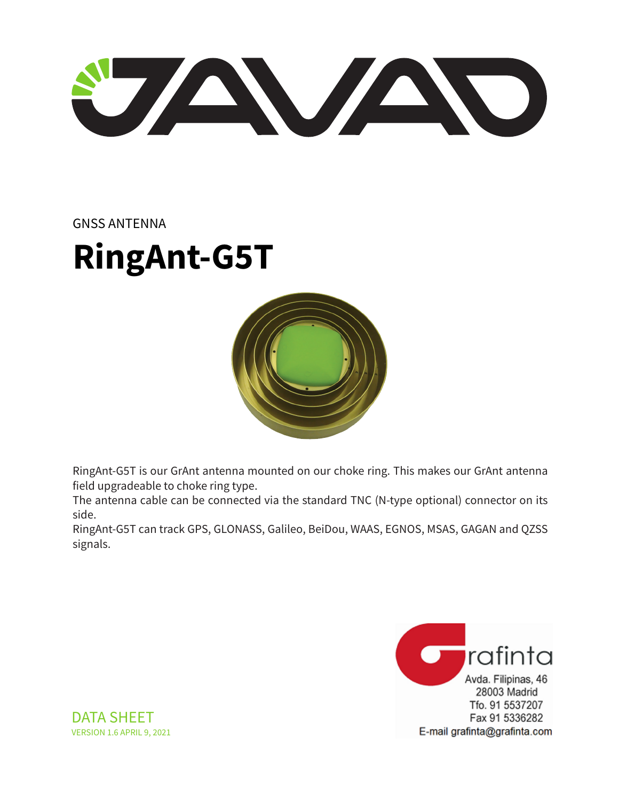STAN AND

#### GNSS ANTENNA

# **RingAnt-G5T**



RingAnt-G5T is our GrAnt antenna mounted on our choke ring. This makes our GrAnt antenna field upgradeable to choke ring type.

The antenna cable can be connected via the standard TNC (N-type optional) connector on its side.

RingAnt-G5T can track GPS, GLONASS, Galileo, BeiDou, WAAS, EGNOS, MSAS, GAGAN and QZSS signals.



DATA SHEET VERSION 1.6 APRIL 9, 2021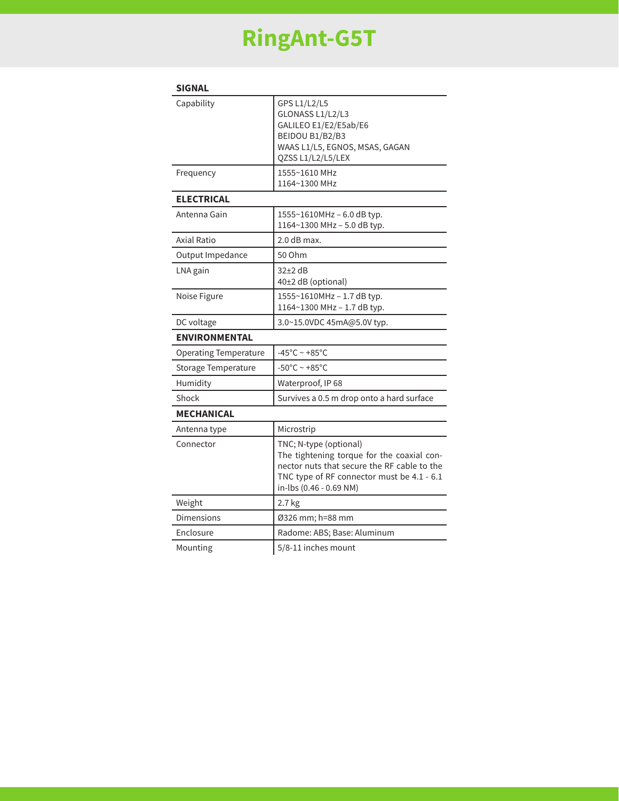## **RingAnt-G5T**

| <b>SIGNAL</b>                |                                                                                                                                                                                              |
|------------------------------|----------------------------------------------------------------------------------------------------------------------------------------------------------------------------------------------|
| Capability                   | GPS L1/L2/L5<br>GLONASS L1/L2/L3<br>GALILEO E1/E2/E5ab/E6<br>BEIDOU B1/B2/B3<br>WAAS L1/L5, EGNOS, MSAS, GAGAN<br>QZSS L1/L2/L5/LEX                                                          |
| Frequency                    | 1555~1610 MHz<br>1164~1300 MHz                                                                                                                                                               |
| <b>ELECTRICAL</b>            |                                                                                                                                                                                              |
| Antenna Gain                 | 1555~1610MHz - 6.0 dB typ.<br>1164~1300 MHz - 5.0 dB typ.                                                                                                                                    |
| Axial Ratio                  | 2.0 dB max.                                                                                                                                                                                  |
| Output Impedance             | 50 Ohm                                                                                                                                                                                       |
| LNA gain                     | $32+2$ dB<br>40±2 dB (optional)                                                                                                                                                              |
| Noise Figure                 | 1555~1610MHz - 1.7 dB typ.<br>1164~1300 MHz - 1.7 dB typ.                                                                                                                                    |
| DC voltage                   | 3.0~15.0VDC 45mA@5.0V typ.                                                                                                                                                                   |
| <b>ENVIRONMENTAL</b>         |                                                                                                                                                                                              |
| <b>Operating Temperature</b> | -45°C ~ +85°C                                                                                                                                                                                |
| <b>Storage Temperature</b>   | $-50^{\circ}$ C ~ +85 $^{\circ}$ C                                                                                                                                                           |
| Humidity                     | Waterproof, IP 68                                                                                                                                                                            |
| Shock                        | Survives a 0.5 m drop onto a hard surface                                                                                                                                                    |
| <b>MECHANICAL</b>            |                                                                                                                                                                                              |
| Antenna type                 | Microstrip                                                                                                                                                                                   |
| Connector                    | TNC; N-type (optional)<br>The tightening torque for the coaxial con-<br>nector nuts that secure the RF cable to the<br>TNC type of RF connector must be 4.1 - 6.1<br>in-lbs (0.46 - 0.69 NM) |
| Weight                       | 2.7 kg                                                                                                                                                                                       |
| Dimensions                   | Ø326 mm; h=88 mm                                                                                                                                                                             |
| Enclosure                    | Radome: ABS; Base: Aluminum                                                                                                                                                                  |
| Mounting                     | 5/8-11 inches mount                                                                                                                                                                          |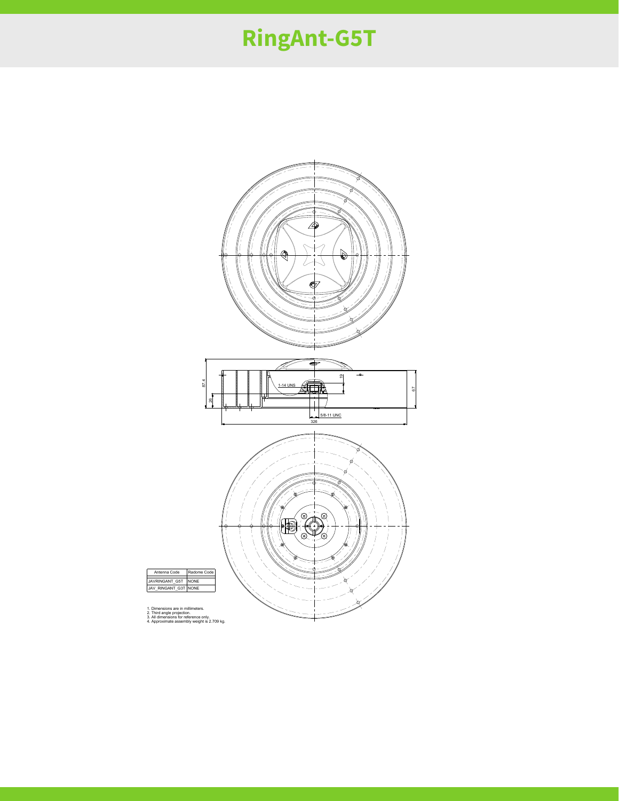### **RingAnt-G5T**